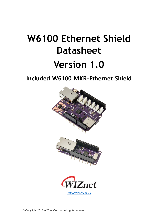# **W6100 Ethernet Shield Datasheet Version 1.0**

# **Included W6100 MKR-Ethernet Shield**

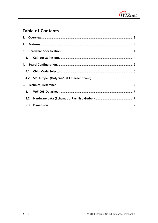

## **Table of Contents**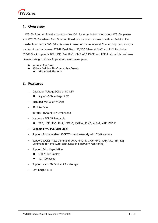

## <span id="page-2-0"></span>**1. Overview**

W6100 Ethernet Shield is based on W6100. For more information about W6100, please visit W6100 Datasheet. This Ethernet Shield can be used on boards with an Arduino Pin Header Form factor. W6100 suits users in need of stable Internet Connectivity best, using a single chip to implement TCP/IP Dual Stack, 10/100 Ethernet MAC and PHY. Hardwired TCP/IP Stack supports TCP, UDP, IPv4, IPv6, ICMP, ARP, IGMP, and PPPoE etc which has been proven through various Applications over many years.

- ⚫ Arduino Platform
- ⚫ Others Arduino Pin-Compatible Boards
	- ARM mbed Platform

### <span id="page-2-1"></span>**2. Features**

- Operation Voltage DC5V or DC3.3V
	- Signals (SPI) Voltage 3.3V
- Included W6100 of WIZnet
- SPI Interface
- 10/100 Ethernet PHY embedded
- Hardware TCP/IP Protocols
	- TCP, UDP, IPv6, IPv4, ICMPv6, ICMPv4, IGMP, MLDv1, ARP, PPPoE
- **Support IPv4/IPv6 Dual Stack**
- Support 8 independent SOCKETs simultaneously with 32KB Memory
- Support SOCKET-less Command: ARP, PING, ICMPv6(PING, ARP, DAD, NA, RS) Command for IPv6 Auto-configuration& Network Monitoring
- Support Auto Negotiation
	- Full / Half Duplex
	- 10/ 100 Based
- Support Micro SD Card slot for storage
- Low height RJ45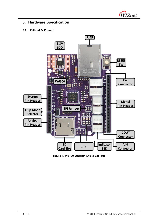

## <span id="page-3-0"></span>**3. Hardware Specification**

#### <span id="page-3-1"></span>**3.1. Call-out & Pin-out**



**Figure 1. W6100 Ethernet Shield Call-out**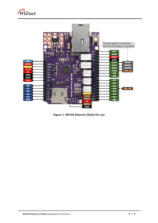



**Figure 2. W6100 Ethernet Shield Pin-out**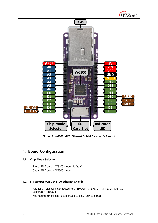



**Figure 3. W6100 MKR-Ethernet Shield Call-out & Pin-out**

## <span id="page-5-0"></span>**4. Board Configuration**

#### <span id="page-5-1"></span>**4.1. Chip Mode Selector**

- Short: SPI frame is W6100 mode (**default**)
- Open: SPI frame is W5500 mode

#### <span id="page-5-2"></span>**4.2. SPI Jumper (Only W6100 Ethernet Shield)**

- Mount: SPI signals is connected to D11(MOSI), D12(MISO), D13(SCLK) and ICSP connector. (**default**)
- Not mount: SPI signals is connected to only ICSP connector.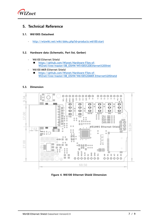

## <span id="page-6-0"></span>**5. Technical Reference**

#### <span id="page-6-1"></span>**5.1. W6100S Datasheet**

- <http://wizwiki.net/wiki/doku.php?id=products:w6100:start>

#### <span id="page-6-2"></span>**5.2. Hardware data (Schematic, Part list, Gerber)**

- W6100 Ethernet Shield
	- https://github.com/Wiznet/Hardware-Files-of-WIZnet/tree/master/08\_OSHW/W5100S%20Ethernet%20Shiel
- W6100 MKR-Ethernet Shield
	- ◼ [https://github.com/Wiznet/Hardware-Files-of-](https://github.com/Wiznet/Hardware-Files-of-WIZnet/tree/master/08_OSHW/W6100%20MKR-Ethernet%20Shield)[WIZnet/tree/master/08\\_OSHW/W6100%20MKR-Ethernet%20Shield](https://github.com/Wiznet/Hardware-Files-of-WIZnet/tree/master/08_OSHW/W6100%20MKR-Ethernet%20Shield)

#### <span id="page-6-3"></span>**5.3. Dimension**



**Figure 4. W6100 Ethernet Shield Dimension**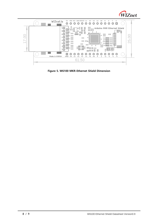



**Figure 5. W6100 MKR-Ethernet Shield Dimension**